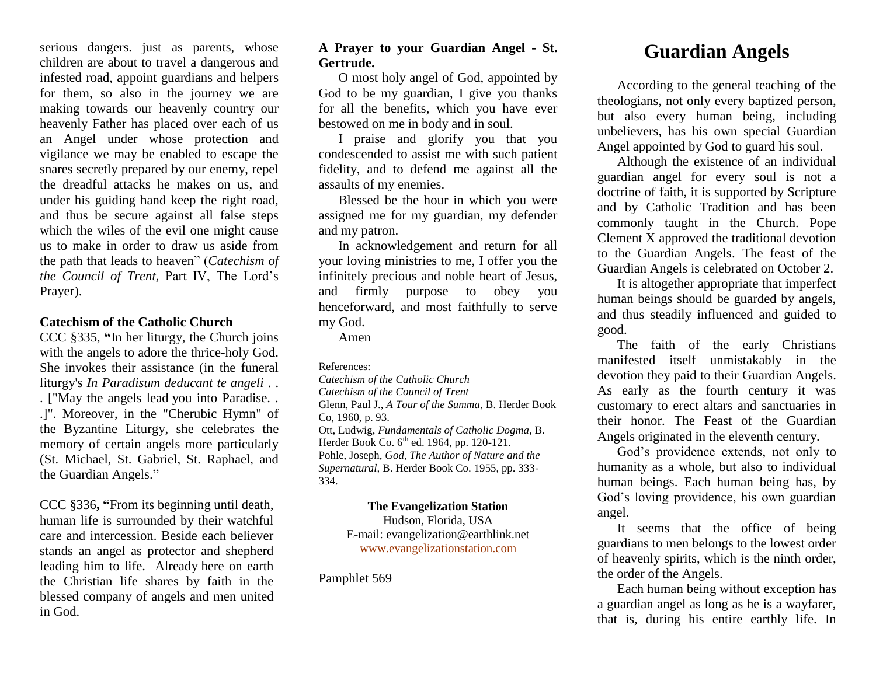serious dangers. just as parents, whose children are about to travel a dangerous and infested road, appoint guardians and helpers for them, so also in the journey we are making towards our heavenly country our heavenly Father has placed over each of us an Angel under whose protection and vigilance we may be enabled to escape the snares secretly prepared by our enemy, repel the dreadful attacks he makes on us, and under his guiding hand keep the right road, and thus be secure against all false steps which the wiles of the evil one might cause us to make in order to draw us aside from the path that leads to heaven" (*Catechism of the Council of Trent,* Part IV, The Lord's Prayer).

#### **Catechism of the Catholic Church**

CCC §335, **"**In her liturgy, the Church joins with the angels to adore the thrice-holy God. She invokes their assistance (in the funeral liturgy's *In Paradisum deducant te angeli* . . . ["May the angels lead you into Paradise. . .]". Moreover, in the "Cherubic Hymn" of the Byzantine Liturgy, she celebrates the memory of certain angels more particularly (St. Michael, St. Gabriel, St. Raphael, and the Guardian Angels."

CCC §336**, "**From its beginning until death, human life is surrounded by their watchful care and intercession. Beside each believer stands an angel as protector and shepherd leading him to life. Already here on earth the Christian life shares by faith in the blessed company of angels and men united in God.

#### **A Prayer to your Guardian Angel - St. Gertrude.**

O most holy angel of God, appointed by God to be my guardian, I give you thanks for all the benefits, which you have ever bestowed on me in body and in soul.

I praise and glorify you that you condescended to assist me with such patient fidelity, and to defend me against all the assaults of my enemies.

Blessed be the hour in which you were assigned me for my guardian, my defender and my patron.

In acknowledgement and return for all your loving ministries to me, I offer you the infinitely precious and noble heart of Jesus, and firmly purpose to obey you henceforward, and most faithfully to serve my God.

Amen

#### References:

*Catechism of the Catholic Church Catechism of the Council of Trent* Glenn, Paul J., *A Tour of the Summa*, B. Herder Book Co, 1960, p. 93.

Ott, Ludwig, *Fundamentals of Catholic Dogma*, B. Herder Book Co. 6<sup>th</sup> ed. 1964, pp. 120-121. Pohle, Joseph, *God, The Author of Nature and the Supernatural,* B. Herder Book Co. 1955, pp. 333- 334.

#### **The Evangelization Station**

Hudson, Florida, USA E-mail: evangelization@earthlink.net [www.evangelizationstation.com](http://www.pjpiisoe.org/)

Pamphlet 569

# **Guardian Angels**

According to the general teaching of the theologians, not only every baptized person, but also every human being, including unbelievers, has his own special Guardian Angel appointed by God to guard his soul.

Although the existence of an individual guardian angel for every soul is not a doctrine of faith, it is supported by Scripture and by Catholic Tradition and has been commonly taught in the Church. Pope Clement X approved the traditional devotion to the Guardian Angels. The feast of the Guardian Angels is celebrated on October 2.

It is altogether appropriate that imperfect human beings should be guarded by angels, and thus steadily influenced and guided to good.

The faith of the early Christians manifested itself unmistakably in the devotion they paid to their Guardian Angels. As early as the fourth century it was customary to erect altars and sanctuaries in their honor. The Feast of the Guardian Angels originated in the eleventh century.

God's providence extends, not only to humanity as a whole, but also to individual human beings. Each human being has, by God's loving providence, his own guardian angel.

It seems that the office of being guardians to men belongs to the lowest order of heavenly spirits, which is the ninth order, the order of the Angels.

Each human being without exception has a guardian angel as long as he is a wayfarer, that is, during his entire earthly life. In